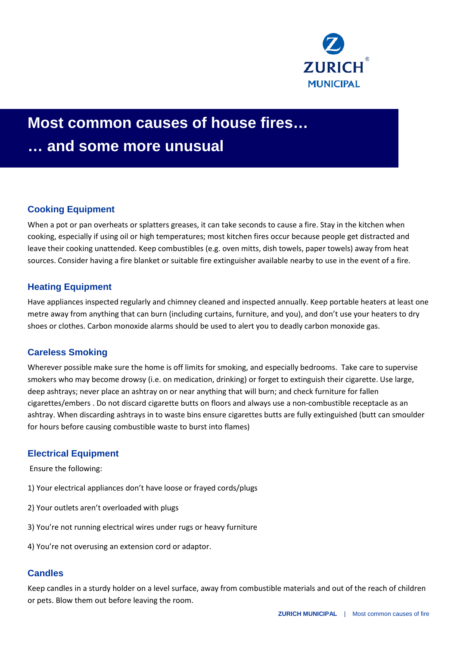

# **Most common causes of house fires… … and some more unusual**

# **Cooking Equipment**

When a pot or pan overheats or splatters greases, it can take seconds to cause a fire. Stay in the kitchen when cooking, especially if using oil or high temperatures; most kitchen fires occur because people get distracted and leave their cooking unattended. Keep combustibles (e.g. oven mitts, dish towels, paper towels) away from heat sources. Consider having a fire blanket or suitable fire extinguisher available nearby to use in the event of a fire.

# **Heating Equipment**

Have appliances inspected regularly and chimney cleaned and inspected annually. Keep portable heaters at least one metre away from anything that can burn (including curtains, furniture, and you), and don't use your heaters to dry shoes or clothes. Carbon monoxide alarms should be used to alert you to deadly carbon monoxide gas.

# **Careless Smoking**

Wherever possible make sure the home is off limits for smoking, and especially bedrooms. Take care to supervise smokers who may become drowsy (i.e. on medication, drinking) or forget to extinguish their cigarette. Use large, deep ashtrays; never place an ashtray on or near anything that will burn; and check furniture for fallen cigarettes/embers . Do not discard cigarette butts on floors and always use a non-combustible receptacle as an ashtray. When discarding ashtrays in to waste bins ensure cigarettes butts are fully extinguished (butt can smoulder for hours before causing combustible waste to burst into flames)

### **Electrical Equipment**

Ensure the following:

- 1) Your electrical appliances don't have loose or frayed cords/plugs
- 2) Your outlets aren't overloaded with plugs
- 3) You're not running electrical wires under rugs or heavy furniture
- 4) You're not overusing an extension cord or adaptor.

### **Candles**

Keep candles in a sturdy holder on a level surface, away from combustible materials and out of the reach of children or pets. Blow them out before leaving the room.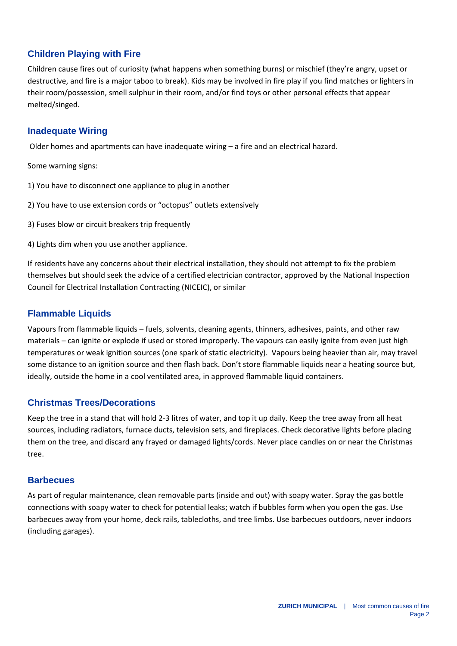# **Children Playing with Fire**

Children cause fires out of curiosity (what happens when something burns) or mischief (they're angry, upset or destructive, and fire is a major taboo to break). Kids may be involved in fire play if you find matches or lighters in their room/possession, smell sulphur in their room, and/or find toys or other personal effects that appear melted/singed.

### **Inadequate Wiring**

Older homes and apartments can have inadequate wiring – a fire and an electrical hazard.

Some warning signs:

- 1) You have to disconnect one appliance to plug in another
- 2) You have to use extension cords or "octopus" outlets extensively
- 3) Fuses blow or circuit breakers trip frequently

4) Lights dim when you use another appliance.

If residents have any concerns about their electrical installation, they should not attempt to fix the problem themselves but should seek the advice of a certified electrician contractor, approved by the National Inspection Council for Electrical Installation Contracting (NICEIC), or similar

### **Flammable Liquids**

Vapours from flammable liquids – fuels, solvents, cleaning agents, thinners, adhesives, paints, and other raw materials – can ignite or explode if used or stored improperly. The vapours can easily ignite from even just high temperatures or weak ignition sources (one spark of static electricity). Vapours being heavier than air, may travel some distance to an ignition source and then flash back. Don't store flammable liquids near a heating source but, ideally, outside the home in a cool ventilated area, in approved flammable liquid containers.

### **Christmas Trees/Decorations**

Keep the tree in a stand that will hold 2-3 litres of water, and top it up daily. Keep the tree away from all heat sources, including radiators, furnace ducts, television sets, and fireplaces. Check decorative lights before placing them on the tree, and discard any frayed or damaged lights/cords. Never place candles on or near the Christmas tree.

#### **Barbecues**

As part of regular maintenance, clean removable parts (inside and out) with soapy water. Spray the gas bottle connections with soapy water to check for potential leaks; watch if bubbles form when you open the gas. Use barbecues away from your home, deck rails, tablecloths, and tree limbs. Use barbecues outdoors, never indoors (including garages).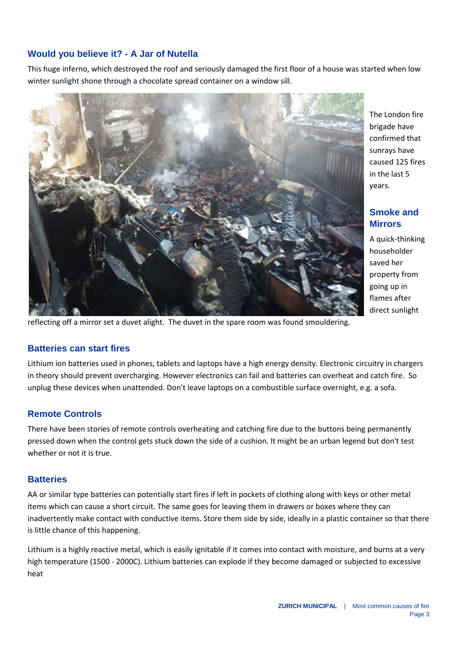# **Would you believe it? - A Jar of Nutella**

This huge inferno, which destroyed the roof and seriously damaged the first floor of a house was started when low winter sunlight shone through a chocolate spread container on a window sill.



reflecting off a mirror set a duvet alight. The duvet in the spare room was found smouldering.

### **Batteries can start fires**

Lithium ion batteries used in phones, tablets and laptops have a high energy density. Electronic circuitry in chargers in theory should prevent overcharging. However electronics can fail and batteries can overheat and catch fire. So unplug these devices when unattended. Don't leave laptops on a combustible surface overnight, e.g. a sofa.

# **Remote Controls**

There have been stories of remote controls overheating and catching fire due to the buttons being permanently pressed down when the control gets stuck down the side of a cushion. It might be an urban legend but don't test whether or not it is true.

### **Batteries**

AA or similar type batteries can potentially start fires if left in pockets of clothing along with keys or other metal items which can cause a short circuit. The same goes for leaving them in drawers or boxes where they can inadvertently make contact with conductive items. Store them side by side, ideally in a plastic container so that there is little chance of this happening.

Lithium is a highly reactive metal, which is easily ignitable if it comes into contact with moisture, and burns at a very high temperature (1500 - 2000C). Lithium batteries can explode if they become damaged or subjected to excessive heat

The London fire brigade have confirmed that sunrays have caused 125 fires in the last 5 years.

# **Smoke and Mirrors**

A quick-thinking householder saved her property from going up in flames after direct sunlight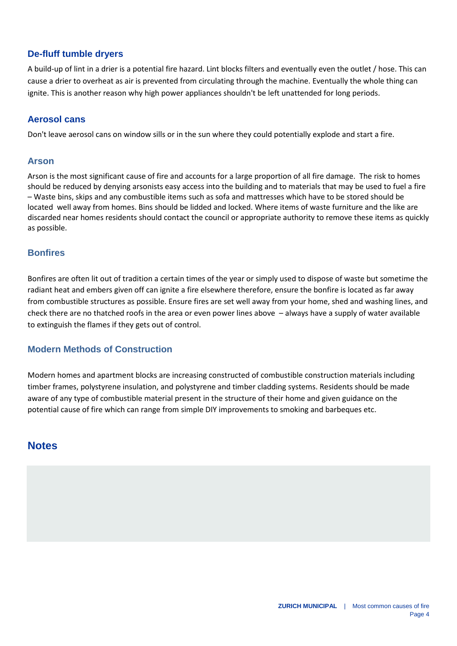# **De-fluff tumble dryers**

A build-up of lint in a drier is a potential fire hazard. Lint blocks filters and eventually even the outlet / hose. This can cause a drier to overheat as air is prevented from circulating through the machine. Eventually the whole thing can ignite. This is another reason why high power appliances shouldn't be left unattended for long periods.

#### **Aerosol cans**

Don't leave aerosol cans on window sills or in the sun where they could potentially explode and start a fire.

#### **Arson**

Arson is the most significant cause of fire and accounts for a large proportion of all fire damage. The risk to homes should be reduced by denying arsonists easy access into the building and to materials that may be used to fuel a fire – Waste bins, skips and any combustible items such as sofa and mattresses which have to be stored should be located well away from homes. Bins should be lidded and locked. Where items of waste furniture and the like are discarded near homes residents should contact the council or appropriate authority to remove these items as quickly as possible.

#### **Bonfires**

Bonfires are often lit out of tradition a certain times of the year or simply used to dispose of waste but sometime the radiant heat and embers given off can ignite a fire elsewhere therefore, ensure the bonfire is located as far away from combustible structures as possible. Ensure fires are set well away from your home, shed and washing lines, and check there are no thatched roofs in the area or even power lines above – always have a supply of water available to extinguish the flames if they gets out of control.

#### **Modern Methods of Construction**

Modern homes and apartment blocks are increasing constructed of combustible construction materials including timber frames, polystyrene insulation, and polystyrene and timber cladding systems. Residents should be made aware of any type of combustible material present in the structure of their home and given guidance on the potential cause of fire which can range from simple DIY improvements to smoking and barbeques etc.

# **Notes**